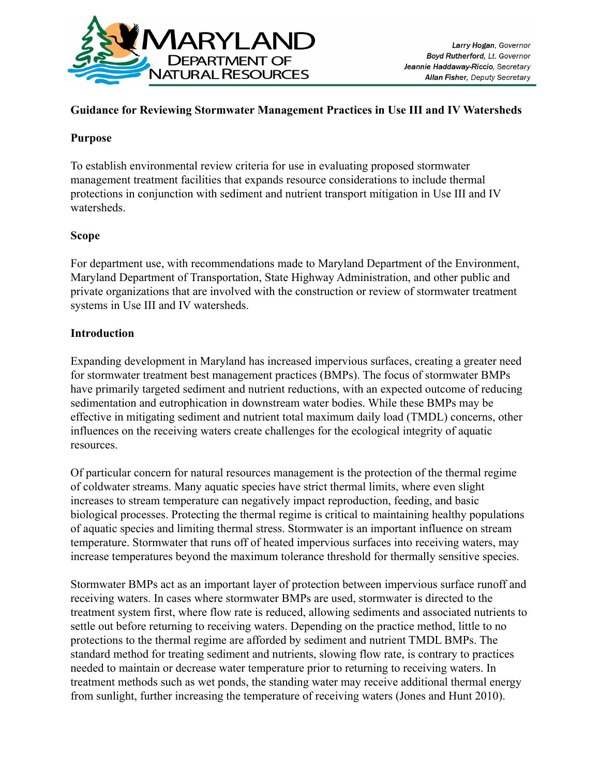

### **Guidance for Reviewing Stormwater Management Practices in Use III and IV Watersheds**

#### **Purpose**

To establish environmental review criteria for use in evaluating proposed stormwater management treatment facilities that expands resource considerations to include thermal protections in conjunction with sediment and nutrient transport mitigation in Use III and IV watersheds.

#### **Scope**

For department use, with recommendations made to Maryland Department of the Environment, Maryland Department of Transportation, State Highway Administration, and other public and private organizations that are involved with the construction or review of stormwater treatment systems in Use III and IV watersheds.

#### **Introduction**

Expanding development in Maryland has increased impervious surfaces, creating a greater need for stormwater treatment best management practices (BMPs). The focus of stormwater BMPs have primarily targeted sediment and nutrient reductions, with an expected outcome of reducing sedimentation and eutrophication in downstream water bodies. While these BMPs may be effective in mitigating sediment and nutrient total maximum daily load (TMDL) concerns, other influences on the receiving waters create challenges for the ecological integrity of aquatic resources.

Of particular concern for natural resources management is the protection of the thermal regime of coldwater streams. Many aquatic species have strict thermal limits, where even slight increases to stream temperature can negatively impact reproduction, feeding, and basic biological processes. Protecting the thermal regime is critical to maintaining healthy populations of aquatic species and limiting thermal stress. Stormwater is an important influence on stream temperature. Stormwater that runs off of heated impervious surfaces into receiving waters, may increase temperatures beyond the maximum tolerance threshold for thermally sensitive species.

Stormwater BMPs act as an important layer of protection between impervious surface runoff and receiving waters. In cases where stormwater BMPs are used, stormwater is directed to the treatment system first, where flow rate is reduced, allowing sediments and associated nutrients to settle out before returning to receiving waters. Depending on the practice method, little to no protections to the thermal regime are afforded by sediment and nutrient TMDL BMPs. The standard method for treating sediment and nutrients, slowing flow rate, is contrary to practices needed to maintain or decrease water temperature prior to returning to receiving waters. In treatment methods such as wet ponds, the standing water may receive additional thermal energy from sunlight, further increasing the temperature of receiving waters (Jones and Hunt 2010).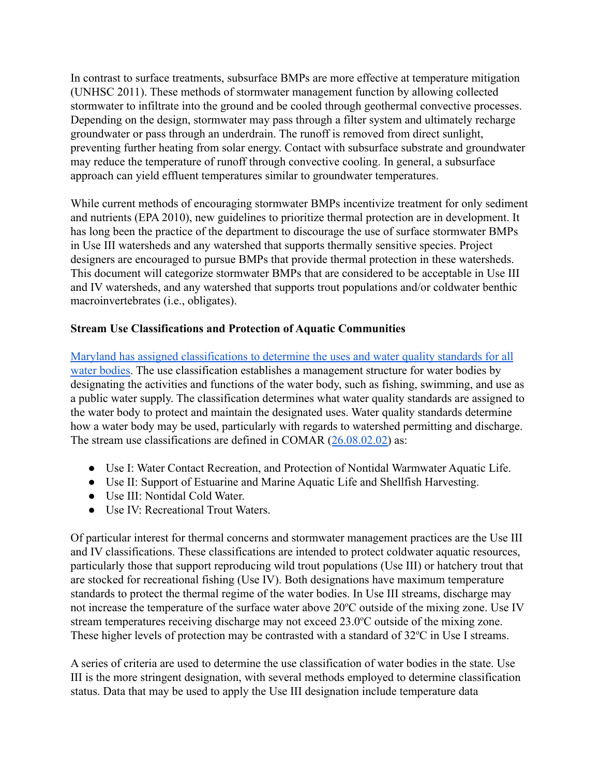In contrast to surface treatments, subsurface BMPs are more effective at temperature mitigation (UNHSC 2011). These methods of stormwater management function by allowing collected stormwater to infiltrate into the ground and be cooled through geothermal convective processes. Depending on the design, stormwater may pass through a filter system and ultimately recharge groundwater or pass through an underdrain. The runoff is removed from direct sunlight, preventing further heating from solar energy. Contact with subsurface substrate and groundwater may reduce the temperature of runoff through convective cooling. In general, a subsurface approach can yield effluent temperatures similar to groundwater temperatures.

While current methods of encouraging stormwater BMPs incentivize treatment for only sediment and nutrients (EPA 2010), new guidelines to prioritize thermal protection are in development. It has long been the practice of the department to discourage the use of surface stormwater BMPs in Use III watersheds and any watershed that supports thermally sensitive species. Project designers are encouraged to pursue BMPs that provide thermal protection in these watersheds. This document will categorize stormwater BMPs that are considered to be acceptable in Use III and IV watersheds, and any watershed that supports trout populations and/or coldwater benthic macroinvertebrates (i.e., obligates).

## **Stream Use Classifications and Protection of Aquatic Communities**

[Maryland has assigned classifications to determine the uses and water quality standards for all](https://mdewin64.mde.state.md.us/WSA/DesigUse/index.html) [water bodies.](https://mdewin64.mde.state.md.us/WSA/DesigUse/index.html) The use classification establishes a management structure for water bodies by designating the activities and functions of the water body, such as fishing, swimming, and use as a public water supply. The classification determines what water quality standards are assigned to the water body to protect and maintain the designated uses. Water quality standards determine how a water body may be used, particularly with regards to watershed permitting and discharge. The stream use classifications are defined in COMAR ([26.08.02.02\)](http://www.dsd.state.md.us/comar/comarhtml/26/26.08.02.02.htm) as:

- Use I: Water Contact Recreation, and Protection of Nontidal Warmwater Aquatic Life.
- Use II: Support of Estuarine and Marine Aquatic Life and Shellfish Harvesting.
- Use III: Nontidal Cold Water.
- Use IV: Recreational Trout Waters

Of particular interest for thermal concerns and stormwater management practices are the Use III and IV classifications. These classifications are intended to protect coldwater aquatic resources, particularly those that support reproducing wild trout populations (Use III) or hatchery trout that are stocked for recreational fishing (Use IV). Both designations have maximum temperature standards to protect the thermal regime of the water bodies. In Use III streams, discharge may not increase the temperature of the surface water above 20°C outside of the mixing zone. Use IV stream temperatures receiving discharge may not exceed  $23.0^{\circ}$ C outside of the mixing zone. These higher levels of protection may be contrasted with a standard of  $32^{\circ}$ C in Use I streams.

A series of criteria are used to determine the use classification of water bodies in the state. Use III is the more stringent designation, with several methods employed to determine classification status. Data that may be used to apply the Use III designation include temperature data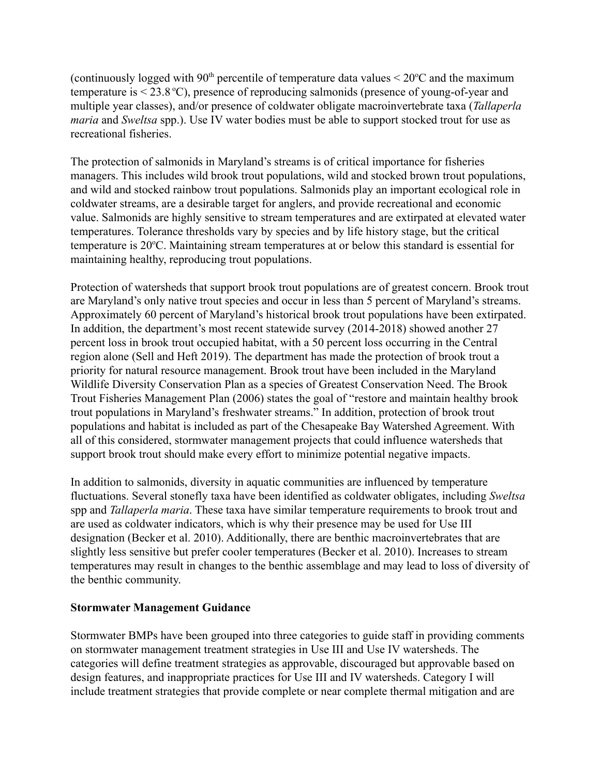(continuously logged with 90<sup>th</sup> percentile of temperature data values  $\leq 20^{\circ}$ C and the maximum temperature is  $\leq$  23.8 °C), presence of reproducing salmonids (presence of young-of-year and multiple year classes), and/or presence of coldwater obligate macroinvertebrate taxa (*Tallaperla maria* and *Sweltsa* spp.). Use IV water bodies must be able to support stocked trout for use as recreational fisheries.

The protection of salmonids in Maryland's streams is of critical importance for fisheries managers. This includes wild brook trout populations, wild and stocked brown trout populations, and wild and stocked rainbow trout populations. Salmonids play an important ecological role in coldwater streams, are a desirable target for anglers, and provide recreational and economic value. Salmonids are highly sensitive to stream temperatures and are extirpated at elevated water temperatures. Tolerance thresholds vary by species and by life history stage, but the critical temperature is 20<sup>o</sup>C. Maintaining stream temperatures at or below this standard is essential for maintaining healthy, reproducing trout populations.

Protection of watersheds that support brook trout populations are of greatest concern. Brook trout are Maryland's only native trout species and occur in less than 5 percent of Maryland's streams. Approximately 60 percent of Maryland's historical brook trout populations have been extirpated. In addition, the department's most recent statewide survey (2014-2018) showed another 27 percent loss in brook trout occupied habitat, with a 50 percent loss occurring in the Central region alone (Sell and Heft 2019). The department has made the protection of brook trout a priority for natural resource management. Brook trout have been included in the Maryland Wildlife Diversity Conservation Plan as a species of Greatest Conservation Need. The Brook Trout Fisheries Management Plan (2006) states the goal of "restore and maintain healthy brook trout populations in Maryland's freshwater streams." In addition, protection of brook trout populations and habitat is included as part of the Chesapeake Bay Watershed Agreement. With all of this considered, stormwater management projects that could influence watersheds that support brook trout should make every effort to minimize potential negative impacts.

In addition to salmonids, diversity in aquatic communities are influenced by temperature fluctuations. Several stonefly taxa have been identified as coldwater obligates, including *Sweltsa* spp and *Tallaperla maria*. These taxa have similar temperature requirements to brook trout and are used as coldwater indicators, which is why their presence may be used for Use III designation (Becker et al. 2010). Additionally, there are benthic macroinvertebrates that are slightly less sensitive but prefer cooler temperatures (Becker et al. 2010). Increases to stream temperatures may result in changes to the benthic assemblage and may lead to loss of diversity of the benthic community.

## **Stormwater Management Guidance**

Stormwater BMPs have been grouped into three categories to guide staff in providing comments on stormwater management treatment strategies in Use III and Use IV watersheds. The categories will define treatment strategies as approvable, discouraged but approvable based on design features, and inappropriate practices for Use III and IV watersheds. Category I will include treatment strategies that provide complete or near complete thermal mitigation and are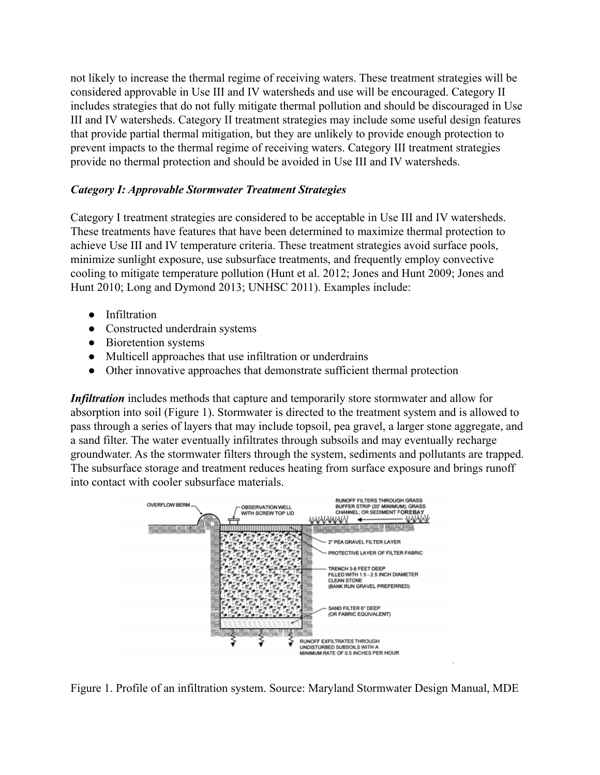not likely to increase the thermal regime of receiving waters. These treatment strategies will be considered approvable in Use III and IV watersheds and use will be encouraged. Category II includes strategies that do not fully mitigate thermal pollution and should be discouraged in Use III and IV watersheds. Category II treatment strategies may include some useful design features that provide partial thermal mitigation, but they are unlikely to provide enough protection to prevent impacts to the thermal regime of receiving waters. Category III treatment strategies provide no thermal protection and should be avoided in Use III and IV watersheds.

## *Category I: Approvable Stormwater Treatment Strategies*

Category I treatment strategies are considered to be acceptable in Use III and IV watersheds. These treatments have features that have been determined to maximize thermal protection to achieve Use III and IV temperature criteria. These treatment strategies avoid surface pools, minimize sunlight exposure, use subsurface treatments, and frequently employ convective cooling to mitigate temperature pollution (Hunt et al. 2012; Jones and Hunt 2009; Jones and Hunt 2010; Long and Dymond 2013; UNHSC 2011). Examples include:

- Infiltration
- Constructed underdrain systems
- Bioretention systems
- Multicell approaches that use infiltration or underdrains
- Other innovative approaches that demonstrate sufficient thermal protection

*Infiltration* includes methods that capture and temporarily store stormwater and allow for absorption into soil (Figure 1). Stormwater is directed to the treatment system and is allowed to pass through a series of layers that may include topsoil, pea gravel, a larger stone aggregate, and a sand filter. The water eventually infiltrates through subsoils and may eventually recharge groundwater. As the stormwater filters through the system, sediments and pollutants are trapped. The subsurface storage and treatment reduces heating from surface exposure and brings runoff into contact with cooler subsurface materials.



Figure 1. Profile of an infiltration system. Source: Maryland Stormwater Design Manual, MDE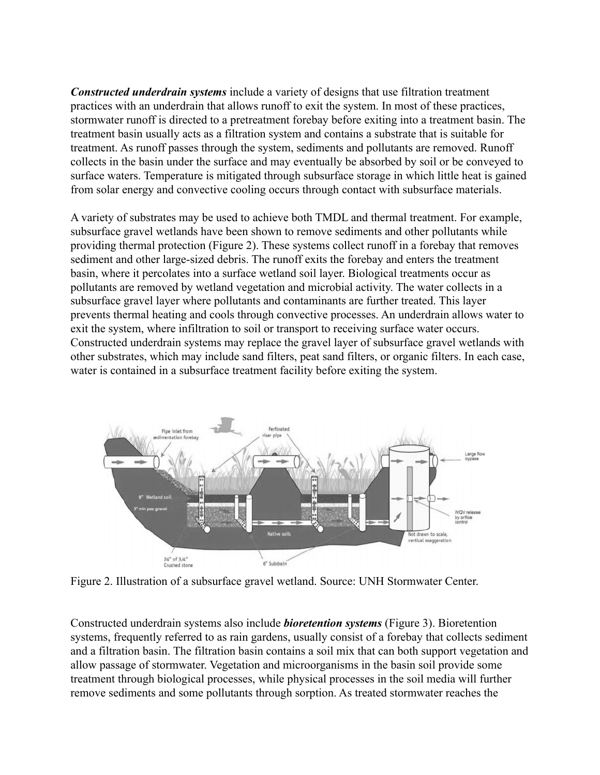*Constructed underdrain systems* include a variety of designs that use filtration treatment practices with an underdrain that allows runoff to exit the system. In most of these practices, stormwater runoff is directed to a pretreatment forebay before exiting into a treatment basin. The treatment basin usually acts as a filtration system and contains a substrate that is suitable for treatment. As runoff passes through the system, sediments and pollutants are removed. Runoff collects in the basin under the surface and may eventually be absorbed by soil or be conveyed to surface waters. Temperature is mitigated through subsurface storage in which little heat is gained from solar energy and convective cooling occurs through contact with subsurface materials.

A variety of substrates may be used to achieve both TMDL and thermal treatment. For example, subsurface gravel wetlands have been shown to remove sediments and other pollutants while providing thermal protection (Figure 2). These systems collect runoff in a forebay that removes sediment and other large-sized debris. The runoff exits the forebay and enters the treatment basin, where it percolates into a surface wetland soil layer. Biological treatments occur as pollutants are removed by wetland vegetation and microbial activity. The water collects in a subsurface gravel layer where pollutants and contaminants are further treated. This layer prevents thermal heating and cools through convective processes. An underdrain allows water to exit the system, where infiltration to soil or transport to receiving surface water occurs. Constructed underdrain systems may replace the gravel layer of subsurface gravel wetlands with other substrates, which may include sand filters, peat sand filters, or organic filters. In each case, water is contained in a subsurface treatment facility before exiting the system.



Figure 2. Illustration of a subsurface gravel wetland. Source: UNH Stormwater Center.

Constructed underdrain systems also include *bioretention systems* (Figure 3). Bioretention systems, frequently referred to as rain gardens, usually consist of a forebay that collects sediment and a filtration basin. The filtration basin contains a soil mix that can both support vegetation and allow passage of stormwater. Vegetation and microorganisms in the basin soil provide some treatment through biological processes, while physical processes in the soil media will further remove sediments and some pollutants through sorption. As treated stormwater reaches the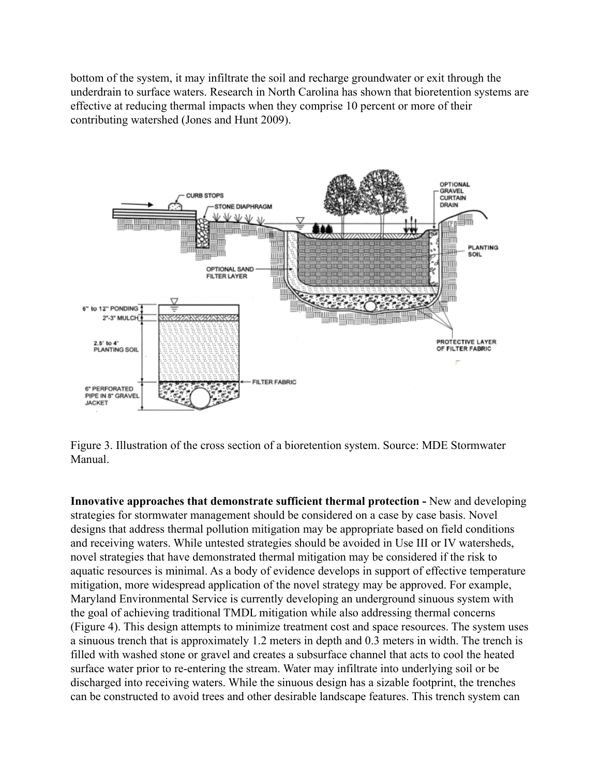bottom of the system, it may infiltrate the soil and recharge groundwater or exit through the underdrain to surface waters. Research in North Carolina has shown that bioretention systems are effective at reducing thermal impacts when they comprise 10 percent or more of their contributing watershed (Jones and Hunt 2009).



Figure 3. Illustration of the cross section of a bioretention system. Source: MDE Stormwater Manual.

**Innovative approaches that demonstrate sufficient thermal protection -** New and developing strategies for stormwater management should be considered on a case by case basis. Novel designs that address thermal pollution mitigation may be appropriate based on field conditions and receiving waters. While untested strategies should be avoided in Use III or IV watersheds, novel strategies that have demonstrated thermal mitigation may be considered if the risk to aquatic resources is minimal. As a body of evidence develops in support of effective temperature mitigation, more widespread application of the novel strategy may be approved. For example, Maryland Environmental Service is currently developing an underground sinuous system with the goal of achieving traditional TMDL mitigation while also addressing thermal concerns (Figure 4). This design attempts to minimize treatment cost and space resources. The system uses a sinuous trench that is approximately 1.2 meters in depth and 0.3 meters in width. The trench is filled with washed stone or gravel and creates a subsurface channel that acts to cool the heated surface water prior to re-entering the stream. Water may infiltrate into underlying soil or be discharged into receiving waters. While the sinuous design has a sizable footprint, the trenches can be constructed to avoid trees and other desirable landscape features. This trench system can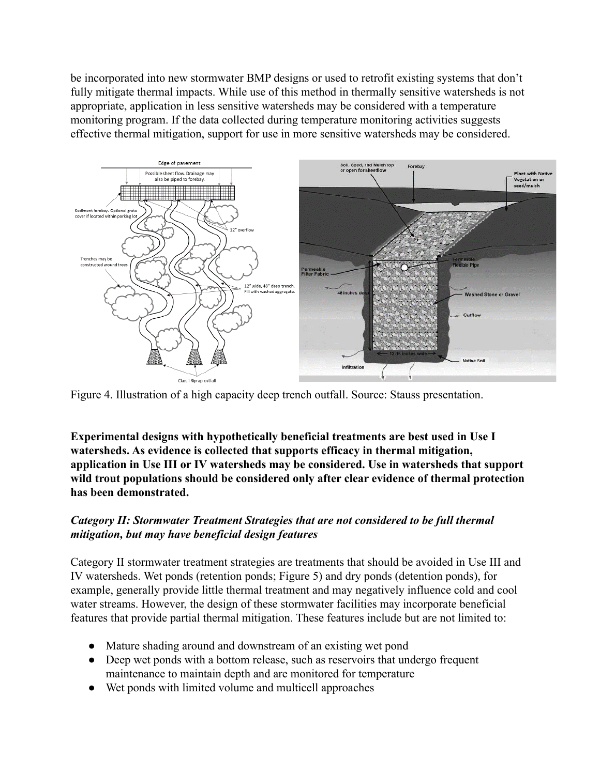be incorporated into new stormwater BMP designs or used to retrofit existing systems that don't fully mitigate thermal impacts. While use of this method in thermally sensitive watersheds is not appropriate, application in less sensitive watersheds may be considered with a temperature monitoring program. If the data collected during temperature monitoring activities suggests effective thermal mitigation, support for use in more sensitive watersheds may be considered.



Figure 4. Illustration of a high capacity deep trench outfall. Source: Stauss presentation.

**Experimental designs with hypothetically beneficial treatments are best used in Use I watersheds. As evidence is collected that supports efficacy in thermal mitigation, application in Use III or IV watersheds may be considered. Use in watersheds that support wild trout populations should be considered only after clear evidence of thermal protection has been demonstrated.**

# *Category II: Stormwater Treatment Strategies that are not considered to be full thermal mitigation, but may have beneficial design features*

Category II stormwater treatment strategies are treatments that should be avoided in Use III and IV watersheds. Wet ponds (retention ponds; Figure 5) and dry ponds (detention ponds), for example, generally provide little thermal treatment and may negatively influence cold and cool water streams. However, the design of these stormwater facilities may incorporate beneficial features that provide partial thermal mitigation. These features include but are not limited to:

- Mature shading around and downstream of an existing wet pond
- Deep wet ponds with a bottom release, such as reservoirs that undergo frequent maintenance to maintain depth and are monitored for temperature
- Wet ponds with limited volume and multicell approaches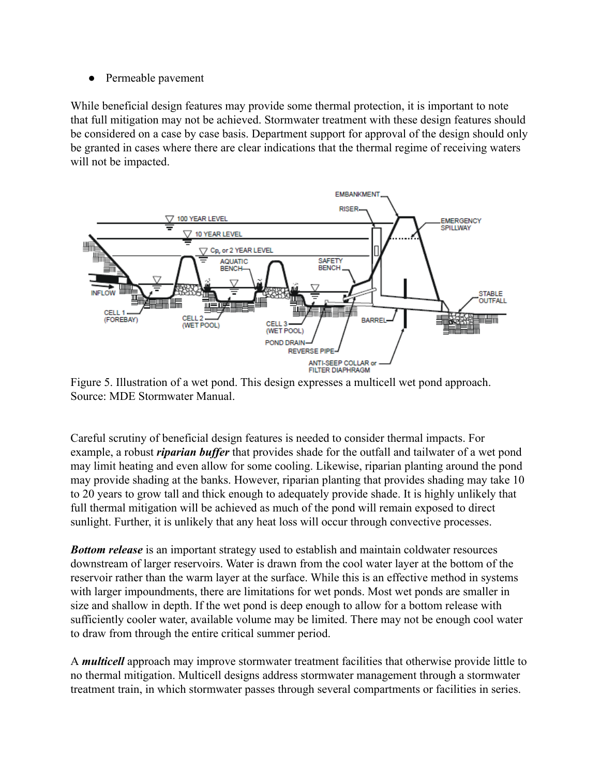● Permeable pavement

While beneficial design features may provide some thermal protection, it is important to note that full mitigation may not be achieved. Stormwater treatment with these design features should be considered on a case by case basis. Department support for approval of the design should only be granted in cases where there are clear indications that the thermal regime of receiving waters will not be impacted.



Figure 5. Illustration of a wet pond. This design expresses a multicell wet pond approach. Source: MDE Stormwater Manual.

Careful scrutiny of beneficial design features is needed to consider thermal impacts. For example, a robust *riparian buffer* that provides shade for the outfall and tailwater of a wet pond may limit heating and even allow for some cooling. Likewise, riparian planting around the pond may provide shading at the banks. However, riparian planting that provides shading may take 10 to 20 years to grow tall and thick enough to adequately provide shade. It is highly unlikely that full thermal mitigation will be achieved as much of the pond will remain exposed to direct sunlight. Further, it is unlikely that any heat loss will occur through convective processes.

*Bottom release* is an important strategy used to establish and maintain coldwater resources downstream of larger reservoirs. Water is drawn from the cool water layer at the bottom of the reservoir rather than the warm layer at the surface. While this is an effective method in systems with larger impoundments, there are limitations for wet ponds. Most wet ponds are smaller in size and shallow in depth. If the wet pond is deep enough to allow for a bottom release with sufficiently cooler water, available volume may be limited. There may not be enough cool water to draw from through the entire critical summer period.

A *multicell* approach may improve stormwater treatment facilities that otherwise provide little to no thermal mitigation. Multicell designs address stormwater management through a stormwater treatment train, in which stormwater passes through several compartments or facilities in series.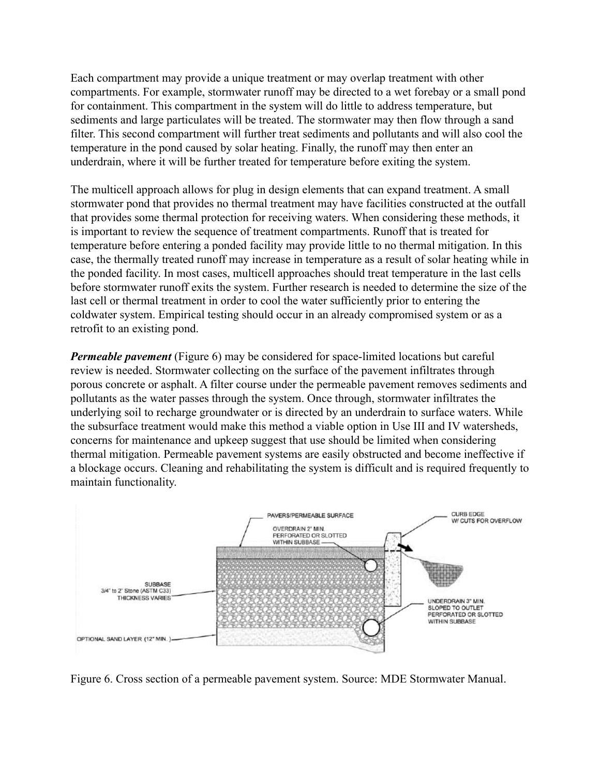Each compartment may provide a unique treatment or may overlap treatment with other compartments. For example, stormwater runoff may be directed to a wet forebay or a small pond for containment. This compartment in the system will do little to address temperature, but sediments and large particulates will be treated. The stormwater may then flow through a sand filter. This second compartment will further treat sediments and pollutants and will also cool the temperature in the pond caused by solar heating. Finally, the runoff may then enter an underdrain, where it will be further treated for temperature before exiting the system.

The multicell approach allows for plug in design elements that can expand treatment. A small stormwater pond that provides no thermal treatment may have facilities constructed at the outfall that provides some thermal protection for receiving waters. When considering these methods, it is important to review the sequence of treatment compartments. Runoff that is treated for temperature before entering a ponded facility may provide little to no thermal mitigation. In this case, the thermally treated runoff may increase in temperature as a result of solar heating while in the ponded facility. In most cases, multicell approaches should treat temperature in the last cells before stormwater runoff exits the system. Further research is needed to determine the size of the last cell or thermal treatment in order to cool the water sufficiently prior to entering the coldwater system. Empirical testing should occur in an already compromised system or as a retrofit to an existing pond.

*Permeable pavement* (Figure 6) may be considered for space-limited locations but careful review is needed. Stormwater collecting on the surface of the pavement infiltrates through porous concrete or asphalt. A filter course under the permeable pavement removes sediments and pollutants as the water passes through the system. Once through, stormwater infiltrates the underlying soil to recharge groundwater or is directed by an underdrain to surface waters. While the subsurface treatment would make this method a viable option in Use III and IV watersheds, concerns for maintenance and upkeep suggest that use should be limited when considering thermal mitigation. Permeable pavement systems are easily obstructed and become ineffective if a blockage occurs. Cleaning and rehabilitating the system is difficult and is required frequently to maintain functionality.



Figure 6. Cross section of a permeable pavement system. Source: MDE Stormwater Manual.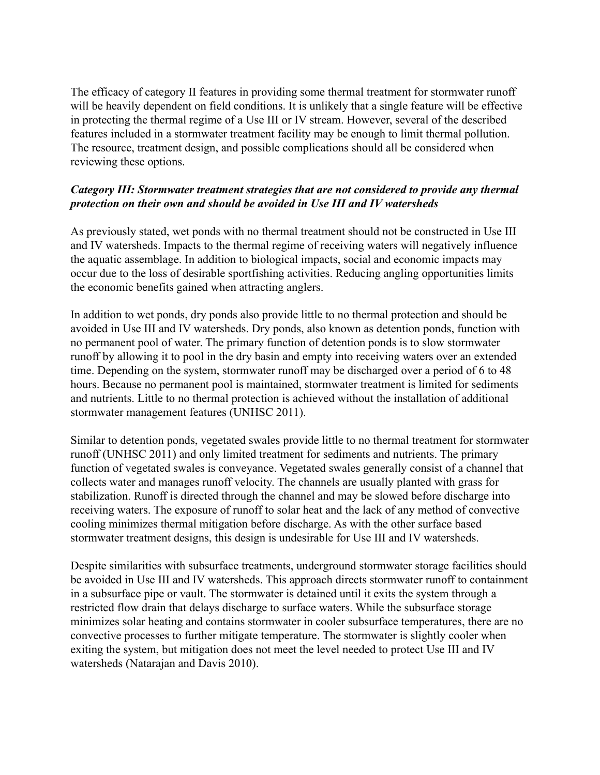The efficacy of category II features in providing some thermal treatment for stormwater runoff will be heavily dependent on field conditions. It is unlikely that a single feature will be effective in protecting the thermal regime of a Use III or IV stream. However, several of the described features included in a stormwater treatment facility may be enough to limit thermal pollution. The resource, treatment design, and possible complications should all be considered when reviewing these options.

## *Category III: Stormwater treatment strategies that are not considered to provide any thermal protection on their own and should be avoided in Use III and IV watersheds*

As previously stated, wet ponds with no thermal treatment should not be constructed in Use III and IV watersheds. Impacts to the thermal regime of receiving waters will negatively influence the aquatic assemblage. In addition to biological impacts, social and economic impacts may occur due to the loss of desirable sportfishing activities. Reducing angling opportunities limits the economic benefits gained when attracting anglers.

In addition to wet ponds, dry ponds also provide little to no thermal protection and should be avoided in Use III and IV watersheds. Dry ponds, also known as detention ponds, function with no permanent pool of water. The primary function of detention ponds is to slow stormwater runoff by allowing it to pool in the dry basin and empty into receiving waters over an extended time. Depending on the system, stormwater runoff may be discharged over a period of 6 to 48 hours. Because no permanent pool is maintained, stormwater treatment is limited for sediments and nutrients. Little to no thermal protection is achieved without the installation of additional stormwater management features (UNHSC 2011).

Similar to detention ponds, vegetated swales provide little to no thermal treatment for stormwater runoff (UNHSC 2011) and only limited treatment for sediments and nutrients. The primary function of vegetated swales is conveyance. Vegetated swales generally consist of a channel that collects water and manages runoff velocity. The channels are usually planted with grass for stabilization. Runoff is directed through the channel and may be slowed before discharge into receiving waters. The exposure of runoff to solar heat and the lack of any method of convective cooling minimizes thermal mitigation before discharge. As with the other surface based stormwater treatment designs, this design is undesirable for Use III and IV watersheds.

Despite similarities with subsurface treatments, underground stormwater storage facilities should be avoided in Use III and IV watersheds. This approach directs stormwater runoff to containment in a subsurface pipe or vault. The stormwater is detained until it exits the system through a restricted flow drain that delays discharge to surface waters. While the subsurface storage minimizes solar heating and contains stormwater in cooler subsurface temperatures, there are no convective processes to further mitigate temperature. The stormwater is slightly cooler when exiting the system, but mitigation does not meet the level needed to protect Use III and IV watersheds (Natarajan and Davis 2010).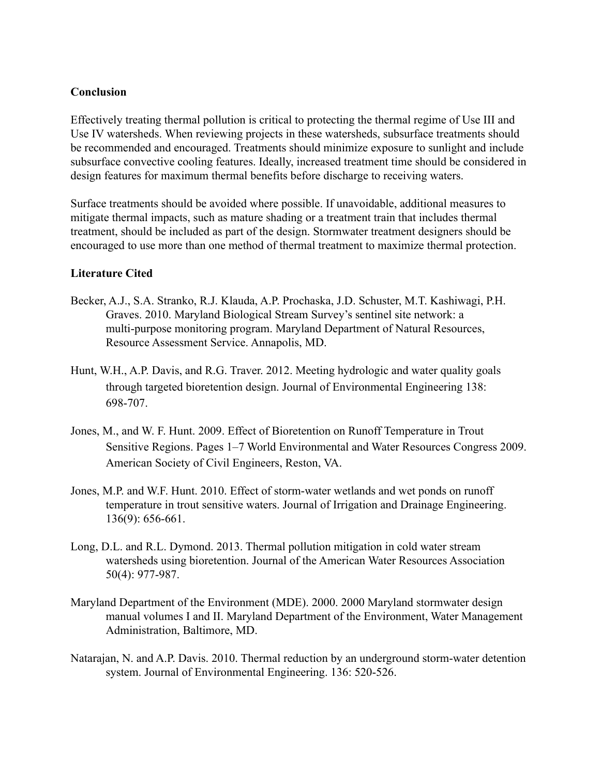### **Conclusion**

Effectively treating thermal pollution is critical to protecting the thermal regime of Use III and Use IV watersheds. When reviewing projects in these watersheds, subsurface treatments should be recommended and encouraged. Treatments should minimize exposure to sunlight and include subsurface convective cooling features. Ideally, increased treatment time should be considered in design features for maximum thermal benefits before discharge to receiving waters.

Surface treatments should be avoided where possible. If unavoidable, additional measures to mitigate thermal impacts, such as mature shading or a treatment train that includes thermal treatment, should be included as part of the design. Stormwater treatment designers should be encouraged to use more than one method of thermal treatment to maximize thermal protection.

#### **Literature Cited**

- Becker, A.J., S.A. Stranko, R.J. Klauda, A.P. Prochaska, J.D. Schuster, M.T. Kashiwagi, P.H. Graves. 2010. Maryland Biological Stream Survey's sentinel site network: a multi-purpose monitoring program. Maryland Department of Natural Resources, Resource Assessment Service. Annapolis, MD.
- Hunt, W.H., A.P. Davis, and R.G. Traver. 2012. Meeting hydrologic and water quality goals through targeted bioretention design. Journal of Environmental Engineering 138: 698-707.
- Jones, M., and W. F. Hunt. 2009. Effect of Bioretention on Runoff Temperature in Trout Sensitive Regions. Pages 1–7 World Environmental and Water Resources Congress 2009. American Society of Civil Engineers, Reston, VA.
- Jones, M.P. and W.F. Hunt. 2010. Effect of storm-water wetlands and wet ponds on runoff temperature in trout sensitive waters. Journal of Irrigation and Drainage Engineering. 136(9): 656-661.
- Long, D.L. and R.L. Dymond. 2013. Thermal pollution mitigation in cold water stream watersheds using bioretention. Journal of the American Water Resources Association 50(4): 977-987.
- Maryland Department of the Environment (MDE). 2000. 2000 Maryland stormwater design manual volumes I and II. Maryland Department of the Environment, Water Management Administration, Baltimore, MD.
- Natarajan, N. and A.P. Davis. 2010. Thermal reduction by an underground storm-water detention system. Journal of Environmental Engineering. 136: 520-526.